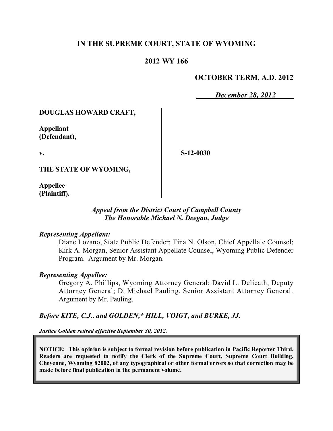## **IN THE SUPREME COURT, STATE OF WYOMING**

## **2012 WY 166**

## **OCTOBER TERM, A.D. 2012**

*December 28, 2012*

## **DOUGLAS HOWARD CRAFT,**

**Appellant (Defendant),**

**v.**

**S-12-0030**

**THE STATE OF WYOMING,**

**Appellee (Plaintiff).**

## *Appeal from the District Court of Campbell County The Honorable Michael N. Deegan, Judge*

#### *Representing Appellant:*

Diane Lozano, State Public Defender; Tina N. Olson, Chief Appellate Counsel; Kirk A. Morgan, Senior Assistant Appellate Counsel, Wyoming Public Defender Program. Argument by Mr. Morgan.

#### *Representing Appellee:*

Gregory A. Phillips, Wyoming Attorney General; David L. Delicath, Deputy Attorney General; D. Michael Pauling, Senior Assistant Attorney General. Argument by Mr. Pauling.

## *Before KITE, C.J., and GOLDEN,\* HILL, VOIGT, and BURKE, JJ.*

*Justice Golden retired effective September 30, 2012.*

**NOTICE: This opinion is subject to formal revision before publication in Pacific Reporter Third. Readers are requested to notify the Clerk of the Supreme Court, Supreme Court Building, Cheyenne, Wyoming 82002, of any typographical or other formal errors so that correction may be made before final publication in the permanent volume.**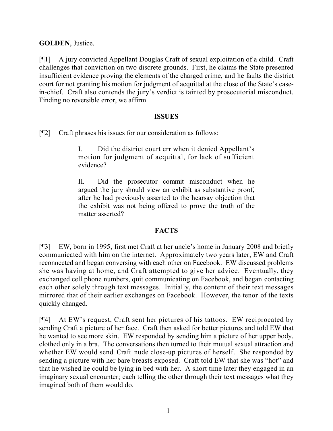## **GOLDEN**, Justice.

[¶1] A jury convicted Appellant Douglas Craft of sexual exploitation of a child. Craft challenges that conviction on two discrete grounds. First, he claims the State presented insufficient evidence proving the elements of the charged crime, and he faults the district court for not granting his motion for judgment of acquittal at the close of the State's casein-chief. Craft also contends the jury's verdict is tainted by prosecutorial misconduct. Finding no reversible error, we affirm.

### **ISSUES**

[¶2] Craft phrases his issues for our consideration as follows:

I. Did the district court err when it denied Appellant's motion for judgment of acquittal, for lack of sufficient evidence?

II. Did the prosecutor commit misconduct when he argued the jury should view an exhibit as substantive proof, after he had previously asserted to the hearsay objection that the exhibit was not being offered to prove the truth of the matter asserted?

## **FACTS**

[¶3] EW, born in 1995, first met Craft at her uncle's home in January 2008 and briefly communicated with him on the internet. Approximately two years later, EW and Craft reconnected and began conversing with each other on Facebook. EW discussed problems she was having at home, and Craft attempted to give her advice. Eventually, they exchanged cell phone numbers, quit communicating on Facebook, and began contacting each other solely through text messages. Initially, the content of their text messages mirrored that of their earlier exchanges on Facebook. However, the tenor of the texts quickly changed.

[¶4] At EW's request, Craft sent her pictures of his tattoos. EW reciprocated by sending Craft a picture of her face. Craft then asked for better pictures and told EW that he wanted to see more skin. EW responded by sending him a picture of her upper body, clothed only in a bra. The conversations then turned to their mutual sexual attraction and whether EW would send Craft nude close-up pictures of herself. She responded by sending a picture with her bare breasts exposed. Craft told EW that she was "hot" and that he wished he could be lying in bed with her. A short time later they engaged in an imaginary sexual encounter; each telling the other through their text messages what they imagined both of them would do.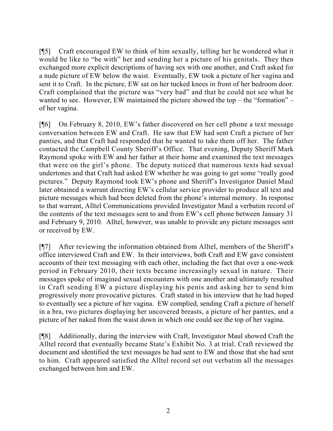[¶5] Craft encouraged EW to think of him sexually, telling her he wondered what it would be like to "be with" her and sending her a picture of his genitals. They then exchanged more explicit descriptions of having sex with one another, and Craft asked for a nude picture of EW below the waist. Eventually, EW took a picture of her vagina and sent it to Craft. In the picture, EW sat on her tucked knees in front of her bedroom door. Craft complained that the picture was "very bad" and that he could not see what he wanted to see. However, EW maintained the picture showed the top – the "formation" – of her vagina.

[¶6] On February 8, 2010, EW's father discovered on her cell phone a text message conversation between EW and Craft. He saw that EW had sent Craft a picture of her panties, and that Craft had responded that he wanted to take them off her. The father contacted the Campbell County Sheriff's Office. That evening, Deputy Sheriff Mark Raymond spoke with EW and her father at their home and examined the text messages that were on the girl's phone. The deputy noticed that numerous texts had sexual undertones and that Craft had asked EW whether he was going to get some "really good pictures." Deputy Raymond took EW's phone and Sheriff's Investigator Daniel Maul later obtained a warrant directing EW's cellular service provider to produce all text and picture messages which had been deleted from the phone's internal memory. In response to that warrant, Alltel Communications provided Investigator Maul a verbatim record of the contents of the text messages sent to and from EW's cell phone between January 31 and February 9, 2010. Alltel, however, was unable to provide any picture messages sent or received by EW.

[¶7] After reviewing the information obtained from Alltel, members of the Sheriff's office interviewed Craft and EW. In their interviews, both Craft and EW gave consistent accounts of their text messaging with each other, including the fact that over a one-week period in February 2010, their texts became increasingly sexual in nature. Their messages spoke of imagined sexual encounters with one another and ultimately resulted in Craft sending EW a picture displaying his penis and asking her to send him progressively more provocative pictures. Craft stated in his interview that he had hoped to eventually see a picture of her vagina. EW complied, sending Craft a picture of herself in a bra, two pictures displaying her uncovered breasts, a picture of her panties, and a picture of her naked from the waist down in which one could see the top of her vagina.

[¶8] Additionally, during the interview with Craft, Investigator Maul showed Craft the Alltel record that eventually became State's Exhibit No. 3 at trial. Craft reviewed the document and identified the text messages he had sent to EW and those that she had sent to him. Craft appeared satisfied the Alltel record set out verbatim all the messages exchanged between him and EW.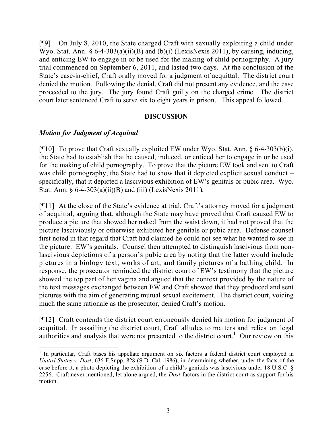[¶9] On July 8, 2010, the State charged Craft with sexually exploiting a child under Wyo. Stat. Ann.  $\S 6-4-303(a)(ii)(B)$  and  $(b)(i)$  (LexisNexis 2011), by causing, inducing, and enticing EW to engage in or be used for the making of child pornography. A jury trial commenced on September 6, 2011, and lasted two days. At the conclusion of the State's case-in-chief, Craft orally moved for a judgment of acquittal. The district court denied the motion. Following the denial, Craft did not present any evidence, and the case proceeded to the jury. The jury found Craft guilty on the charged crime. The district court later sentenced Craft to serve six to eight years in prison. This appeal followed.

### **DISCUSSION**

### *Motion for Judgment of Acquittal*

[ $[$ [10] To prove that Craft sexually exploited EW under Wyo. Stat. Ann. § 6-4-303(b)(i), the State had to establish that he caused, induced, or enticed her to engage in or be used for the making of child pornography. To prove that the picture EW took and sent to Craft was child pornography, the State had to show that it depicted explicit sexual conduct – specifically, that it depicted a lascivious exhibition of EW's genitals or pubic area. Wyo. Stat. Ann. § 6-4-303(a)(ii)(B) and (iii) (LexisNexis 2011).

[¶11] At the close of the State's evidence at trial, Craft's attorney moved for a judgment of acquittal, arguing that, although the State may have proved that Craft caused EW to produce a picture that showed her naked from the waist down, it had not proved that the picture lasciviously or otherwise exhibited her genitals or pubic area. Defense counsel first noted in that regard that Craft had claimed he could not see what he wanted to see in the picture: EW's genitals. Counsel then attempted to distinguish lascivious from nonlascivious depictions of a person's pubic area by noting that the latter would include pictures in a biology text, works of art, and family pictures of a bathing child. In response, the prosecutor reminded the district court of EW's testimony that the picture showed the top part of her vagina and argued that the context provided by the nature of the text messages exchanged between EW and Craft showed that they produced and sent pictures with the aim of generating mutual sexual excitement. The district court, voicing much the same rationale as the prosecutor, denied Craft's motion.

[¶12] Craft contends the district court erroneously denied his motion for judgment of acquittal. In assailing the district court, Craft alludes to matters and relies on legal authorities and analysis that were not presented to the district court.<sup>1</sup> Our review on this

<sup>&</sup>lt;sup>1</sup> In particular, Craft bases his appellate argument on six factors a federal district court employed in *United States v. Dost*, 636 F.Supp. 828 (S.D. Cal. 1986), in determining whether, under the facts of the case before it, a photo depicting the exhibition of a child's genitals was lascivious under 18 U.S.C. § 2256. Craft never mentioned, let alone argued, the *Dost* factors in the district court as support for his motion.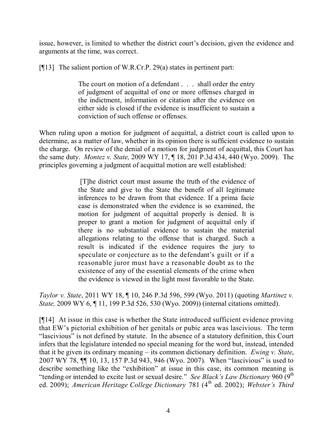issue, however, is limited to whether the district court's decision, given the evidence and arguments at the time, was correct.

[¶13] The salient portion of W.R.Cr.P. 29(a) states in pertinent part:

The court on motion of a defendant . . . shall order the entry of judgment of acquittal of one or more offenses charged in the indictment, information or citation after the evidence on either side is closed if the evidence is insufficient to sustain a conviction of such offense or offenses.

When ruling upon a motion for judgment of acquittal, a district court is called upon to determine, as a matter of law, whether in its opinion there is sufficient evidence to sustain the charge. On review of the denial of a motion for judgment of acquittal, this Court has the same duty. *Montez v. State,* 2009 WY 17, ¶ 18, 201 P.3d 434, 440 (Wyo. 2009). The principles governing a judgment of acquittal motion are well established:

> [T]he district court must assume the truth of the evidence of the State and give to the State the benefit of all legitimate inferences to be drawn from that evidence. If a prima facie case is demonstrated when the evidence is so examined, the motion for judgment of acquittal properly is denied. It is proper to grant a motion for judgment of acquittal only if there is no substantial evidence to sustain the material allegations relating to the offense that is charged. Such a result is indicated if the evidence requires the jury to speculate or conjecture as to the defendant's guilt or if a reasonable juror must have a reasonable doubt as to the existence of any of the essential elements of the crime when the evidence is viewed in the light most favorable to the State.

*Taylor v. State*, 2011 WY 18, ¶ 10, 246 P.3d 596, 599 (Wyo. 2011) (quoting *Martinez v. State,* 2009 WY 6, ¶ 11, 199 P.3d 526, 530 (Wyo. 2009)) (internal citations omitted).

[¶14] At issue in this case is whether the State introduced sufficient evidence proving that EW's pictorial exhibition of her genitals or pubic area was lascivious. The term "lascivious" is not defined by statute. In the absence of a statutory definition, this Court infers that the legislature intended no special meaning for the word but, instead, intended that it be given its ordinary meaning – its common dictionary definition. *Ewing v. State*, 2007 WY 78, ¶¶ 10, 13, 157 P.3d 943, 946 (Wyo. 2007). When "lascivious" is used to describe something like the "exhibition" at issue in this case, its common meaning is "tending or intended to excite lust or sexual desire." *See Black's Law Dictionary* 960 (9<sup>th</sup>) ed. 2009); American Heritage College Dictionary 781 (4<sup>th</sup> ed. 2002); Webster's Third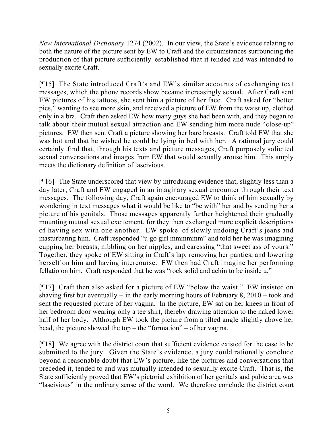*New International Dictionary* 1274 (2002). In our view, the State's evidence relating to both the nature of the picture sent by EW to Craft and the circumstances surrounding the production of that picture sufficiently established that it tended and was intended to sexually excite Craft.

[¶15] The State introduced Craft's and EW's similar accounts of exchanging text messages, which the phone records show became increasingly sexual. After Craft sent EW pictures of his tattoos, she sent him a picture of her face. Craft asked for "better pics," wanting to see more skin, and received a picture of EW from the waist up, clothed only in a bra. Craft then asked EW how many guys she had been with, and they began to talk about their mutual sexual attraction and EW sending him more nude "close-up" pictures. EW then sent Craft a picture showing her bare breasts. Craft told EW that she was hot and that he wished he could be lying in bed with her. A rational jury could certainly find that, through his texts and picture messages, Craft purposely solicited sexual conversations and images from EW that would sexually arouse him. This amply meets the dictionary definition of lascivious.

[¶16] The State underscored that view by introducing evidence that, slightly less than a day later, Craft and EW engaged in an imaginary sexual encounter through their text messages. The following day, Craft again encouraged EW to think of him sexually by wondering in text messages what it would be like to "be with" her and by sending her a picture of his genitals. Those messages apparently further heightened their gradually mounting mutual sexual excitement, for they then exchanged more explicit descriptions of having sex with one another. EW spoke of slowly undoing Craft's jeans and masturbating him. Craft responded "u go girl mmmmmm" and told her he was imagining cupping her breasts, nibbling on her nipples, and caressing "that sweet ass of yours." Together, they spoke of EW sitting in Craft's lap, removing her panties, and lowering herself on him and having intercourse. EW then had Craft imagine her performing fellatio on him. Craft responded that he was "rock solid and achin to be inside u."

[¶17] Craft then also asked for a picture of EW "below the waist." EW insisted on shaving first but eventually – in the early morning hours of February 8,  $2010 - \text{took}$  and sent the requested picture of her vagina. In the picture, EW sat on her knees in front of her bedroom door wearing only a tee shirt, thereby drawing attention to the naked lower half of her body. Although EW took the picture from a tilted angle slightly above her head, the picture showed the top – the "formation" – of her vagina.

[¶18] We agree with the district court that sufficient evidence existed for the case to be submitted to the jury. Given the State's evidence, a jury could rationally conclude beyond a reasonable doubt that EW's picture, like the pictures and conversations that preceded it, tended to and was mutually intended to sexually excite Craft. That is, the State sufficiently proved that EW's pictorial exhibition of her genitals and pubic area was "lascivious" in the ordinary sense of the word. We therefore conclude the district court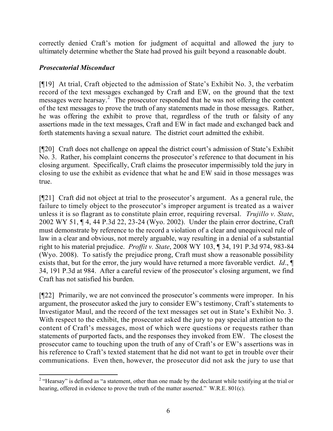correctly denied Craft's motion for judgment of acquittal and allowed the jury to ultimately determine whether the State had proved his guilt beyond a reasonable doubt.

## *Prosecutorial Misconduct*

[¶19] At trial, Craft objected to the admission of State's Exhibit No. 3, the verbatim record of the text messages exchanged by Craft and EW, on the ground that the text messages were hearsay.<sup>2</sup> The prosecutor responded that he was not offering the content of the text messages to prove the truth of any statements made in those messages. Rather, he was offering the exhibit to prove that, regardless of the truth or falsity of any assertions made in the text messages, Craft and EW in fact made and exchanged back and forth statements having a sexual nature. The district court admitted the exhibit.

[¶20] Craft does not challenge on appeal the district court's admission of State's Exhibit No. 3. Rather, his complaint concerns the prosecutor's reference to that document in his closing argument. Specifically, Craft claims the prosecutor impermissibly told the jury in closing to use the exhibit as evidence that what he and EW said in those messages was true.

[¶21] Craft did not object at trial to the prosecutor's argument. As a general rule, the failure to timely object to the prosecutor's improper argument is treated as a waiver unless it is so flagrant as to constitute plain error, requiring reversal. *Trujillo v. State*, 2002 WY 51, ¶ 4, 44 P.3d 22, 23-24 (Wyo. 2002). Under the plain error doctrine, Craft must demonstrate by reference to the record a violation of a clear and unequivocal rule of law in a clear and obvious, not merely arguable, way resulting in a denial of a substantial right to his material prejudice. *Proffit v. State*, 2008 WY 103, ¶ 34, 191 P.3d 974, 983-84 (Wyo. 2008). To satisfy the prejudice prong, Craft must show a reasonable possibility exists that, but for the error, the jury would have returned a more favorable verdict. *Id*., ¶ 34, 191 P.3d at 984. After a careful review of the prosecutor's closing argument, we find Craft has not satisfied his burden.

[¶22] Primarily, we are not convinced the prosecutor's comments were improper. In his argument, the prosecutor asked the jury to consider EW's testimony, Craft's statements to Investigator Maul, and the record of the text messages set out in State's Exhibit No. 3. With respect to the exhibit, the prosecutor asked the jury to pay special attention to the content of Craft's messages, most of which were questions or requests rather than statements of purported facts, and the responses they invoked from EW. The closest the prosecutor came to touching upon the truth of any of Craft's or EW's assertions was in his reference to Craft's texted statement that he did not want to get in trouble over their communications. Even then, however, the prosecutor did not ask the jury to use that

<sup>&</sup>lt;sup>2</sup> "Hearsay" is defined as "a statement, other than one made by the declarant while testifying at the trial or hearing, offered in evidence to prove the truth of the matter asserted." W.R.E. 801(c).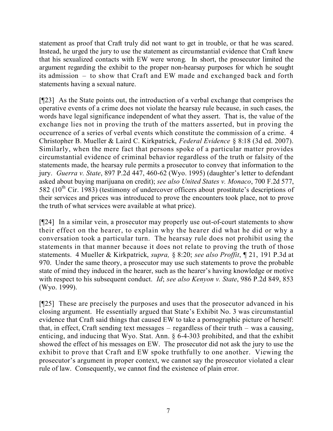statement as proof that Craft truly did not want to get in trouble, or that he was scared. Instead, he urged the jury to use the statement as circumstantial evidence that Craft knew that his sexualized contacts with EW were wrong. In short, the prosecutor limited the argument regarding the exhibit to the proper non-hearsay purposes for which he sought its admission – to show that Craft and EW made and exchanged back and forth statements having a sexual nature.

[¶23] As the State points out, the introduction of a verbal exchange that comprises the operative events of a crime does not violate the hearsay rule because, in such cases, the words have legal significance independent of what they assert. That is, the value of the exchange lies not in proving the truth of the matters asserted, but in proving the occurrence of a series of verbal events which constitute the commission of a crime. 4 Christopher B. Mueller & Laird C. Kirkpatrick, *Federal Evidence* § 8:18 (3d ed. 2007). Similarly, when the mere fact that persons spoke of a particular matter provides circumstantial evidence of criminal behavior regardless of the truth or falsity of the statements made, the hearsay rule permits a prosecutor to convey that information to the jury. *Guerra v. State*, 897 P.2d 447, 460-62 (Wyo. 1995) (daughter's letter to defendant asked about buying marijuana on credit); *see also United States v. Monaco*, 700 F.2d 577, 582 ( $10^{th}$  Cir. 1983) (testimony of undercover officers about prostitute's descriptions of their services and prices was introduced to prove the encounters took place, not to prove the truth of what services were available at what price).

[¶24] In a similar vein, a prosecutor may properly use out-of-court statements to show their effect on the hearer, to explain why the hearer did what he did or why a conversation took a particular turn. The hearsay rule does not prohibit using the statements in that manner because it does not relate to proving the truth of those statements. 4 Mueller & Kirkpatrick, *supra,* § 8:20; *see also Proffit*, ¶ 21, 191 P.3d at 970. Under the same theory, a prosecutor may use such statements to prove the probable state of mind they induced in the hearer, such as the hearer's having knowledge or motive with respect to his subsequent conduct. *Id*; *see also Kenyon v. State*, 986 P.2d 849, 853 (Wyo. 1999).

[¶25] These are precisely the purposes and uses that the prosecutor advanced in his closing argument. He essentially argued that State's Exhibit No. 3 was circumstantial evidence that Craft said things that caused EW to take a pornographic picture of herself: that, in effect, Craft sending text messages – regardless of their truth – was a causing, enticing, and inducing that Wyo. Stat. Ann. § 6-4-303 prohibited, and that the exhibit showed the effect of his messages on EW. The prosecutor did not ask the jury to use the exhibit to prove that Craft and EW spoke truthfully to one another. Viewing the prosecutor's argument in proper context, we cannot say the prosecutor violated a clear rule of law. Consequently, we cannot find the existence of plain error.